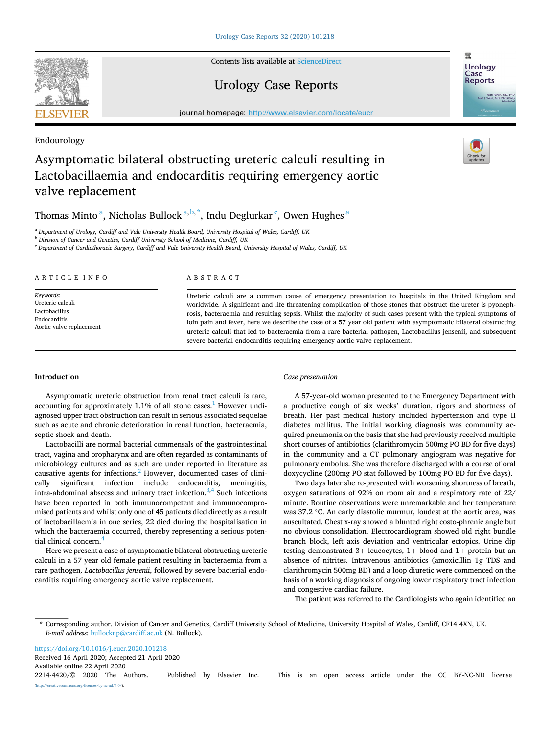Contents lists available at [ScienceDirect](www.sciencedirect.com/science/journal/22144420)

# Urology Case Reports

journal homepage: [http://www.elsevier.com/locate/eucr](https://http://www.elsevier.com/locate/eucr)

# Asymptomatic bilateral obstructing ureteric calculi resulting in Lactobacillaemia and endocarditis requiring emergency aortic valve replacement

Thomas Minto  $\mathrm{^a_\mathrm{,}}$  Nicholas Bullock  $\mathrm{^{a,b,\tilde{^*}_{,}} }$ , Indu Deglurkar  $\mathrm{^c_\mathrm{,}}$  Owen Hughes  $\mathrm{^a_\mathrm{}}$ 

<sup>a</sup> *Department of Urology, Cardiff and Vale University Health Board, University Hospital of Wales, Cardiff, UK* 

<sup>b</sup> *Division of Cancer and Genetics, Cardiff University School of Medicine, Cardiff, UK* 

<sup>c</sup> *Department of Cardiothoracic Surgery, Cardiff and Vale University Health Board, University Hospital of Wales, Cardiff, UK* 

#### ARTICLE INFO

*Keywords:*  Ureteric calculi Lactobacillus Endocarditis Aortic valve replacement

### ABSTRACT

Ureteric calculi are a common cause of emergency presentation to hospitals in the United Kingdom and worldwide. A significant and life threatening complication of those stones that obstruct the ureter is pyonephrosis, bacteraemia and resulting sepsis. Whilst the majority of such cases present with the typical symptoms of loin pain and fever, here we describe the case of a 57 year old patient with asymptomatic bilateral obstructing ureteric calculi that led to bacteraemia from a rare bacterial pathogen, Lactobacillus jensenii, and subsequent severe bacterial endocarditis requiring emergency aortic valve replacement.

# **Introduction**

Asymptomatic ureteric obstruction from renal tract calculi is rare, accounting for approximately 1.1% of all stone cases.<sup>1</sup> However undiagnosed upper tract obstruction can result in serious associated sequelae such as acute and chronic deterioration in renal function, bacteraemia, septic shock and death.

Lactobacilli are normal bacterial commensals of the gastrointestinal tract, vagina and oropharynx and are often regarded as contaminants of microbiology cultures and as such are under reported in literature as causative agents for infections.<sup>2</sup> However, documented cases of clinically significant infection include endocarditis, meningitis, intra-abdominal abscess and urinary tract infection.<sup>3,4</sup> Such infections have been reported in both immunocompetent and immunocompromised patients and whilst only one of 45 patients died directly as a result of lactobacillaemia in one series, 22 died during the hospitalisation in which the bacteraemia occurred, thereby representing a serious potential clinical concern.[4](#page-2-0) 

Here we present a case of asymptomatic bilateral obstructing ureteric calculi in a 57 year old female patient resulting in bacteraemia from a rare pathogen, *Lactobacillus jensenii*, followed by severe bacterial endocarditis requiring emergency aortic valve replacement.

# *Case presentation*

A 57-year-old woman presented to the Emergency Department with a productive cough of six weeks' duration, rigors and shortness of breath. Her past medical history included hypertension and type II diabetes mellitus. The initial working diagnosis was community acquired pneumonia on the basis that she had previously received multiple short courses of antibiotics (clarithromycin 500mg PO BD for five days) in the community and a CT pulmonary angiogram was negative for pulmonary embolus. She was therefore discharged with a course of oral doxycycline (200mg PO stat followed by 100mg PO BD for five days).

Two days later she re-presented with worsening shortness of breath, oxygen saturations of 92% on room air and a respiratory rate of 22/ minute. Routine observations were unremarkable and her temperature was 37.2 °C. An early diastolic murmur, loudest at the aortic area, was auscultated. Chest x-ray showed a blunted right costo-phrenic angle but no obvious consolidation. Electrocardiogram showed old right bundle branch block, left axis deviation and ventricular ectopics. Urine dip testing demonstrated  $3+$  leucocytes,  $1+$  blood and  $1+$  protein but an absence of nitrites. Intravenous antibiotics (amoxicillin 1g TDS and clarithromycin 500mg BD) and a loop diuretic were commenced on the basis of a working diagnosis of ongoing lower respiratory tract infection and congestive cardiac failure.

The patient was referred to the Cardiologists who again identified an

Available online 22 April 2020 <https://doi.org/10.1016/j.eucr.2020.101218> Received 16 April 2020; Accepted 21 April 2020

2214-4420/© 2020 The Authors. Published by Elsevier Inc. This is an open access article under the CC BY-NC-ND license [\(http://creativecommons.org/licenses/by-nc-nd/4.0/\)](http://creativecommons.org/licenses/by-nc-nd/4.0/).



Endourology



<sup>\*</sup> Corresponding author. Division of Cancer and Genetics, Cardiff University School of Medicine, University Hospital of Wales, Cardiff, CF14 4XN, UK. *E-mail address:* [bullocknp@cardiff.ac.uk](mailto:bullocknp@cardiff.ac.uk) (N. Bullock).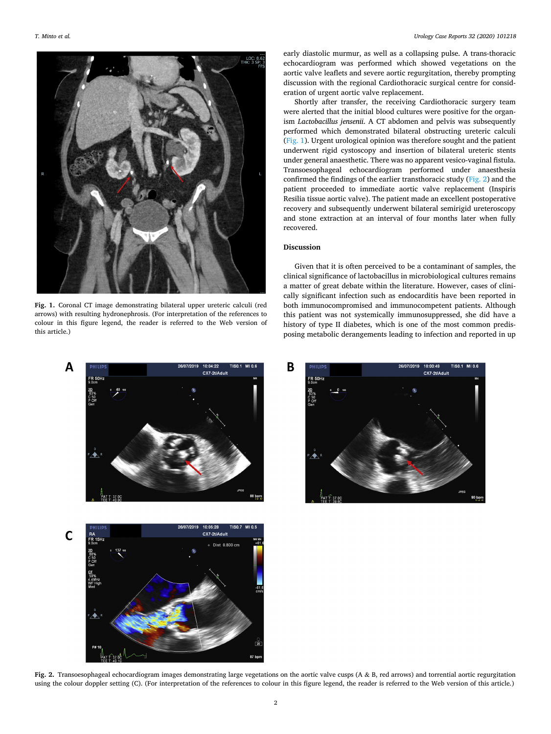

**Fig. 1.** Coronal CT image demonstrating bilateral upper ureteric calculi (red arrows) with resulting hydronephrosis. (For interpretation of the references to colour in this figure legend, the reader is referred to the Web version of this article.)





early diastolic murmur, as well as a collapsing pulse. A trans-thoracic echocardiogram was performed which showed vegetations on the aortic valve leaflets and severe aortic regurgitation, thereby prompting discussion with the regional Cardiothoracic surgical centre for consideration of urgent aortic valve replacement.

Shortly after transfer, the receiving Cardiothoracic surgery team were alerted that the initial blood cultures were positive for the organism *Lactobacillus jensenii*. A CT abdomen and pelvis was subsequently performed which demonstrated bilateral obstructing ureteric calculi (Fig. 1). Urgent urological opinion was therefore sought and the patient underwent rigid cystoscopy and insertion of bilateral ureteric stents under general anaesthetic. There was no apparent vesico-vaginal fistula. Transoesophageal echocardiogram performed under anaesthesia confirmed the findings of the earlier transthoracic study (Fig. 2) and the patient proceeded to immediate aortic valve replacement (Inspiris Resilia tissue aortic valve). The patient made an excellent postoperative recovery and subsequently underwent bilateral semirigid ureteroscopy and stone extraction at an interval of four months later when fully recovered.

# **Discussion**

Given that it is often perceived to be a contaminant of samples, the clinical significance of lactobacillus in microbiological cultures remains a matter of great debate within the literature. However, cases of clinically significant infection such as endocarditis have been reported in both immunocompromised and immunocompetent patients. Although this patient was not systemically immunosuppressed, she did have a history of type II diabetes, which is one of the most common predisposing metabolic derangements leading to infection and reported in up



**Fig. 2.** Transoesophageal echocardiogram images demonstrating large vegetations on the aortic valve cusps (A & B, red arrows) and torrential aortic regurgitation using the colour doppler setting (C). (For interpretation of the references to colour in this figure legend, the reader is referred to the Web version of this article.)